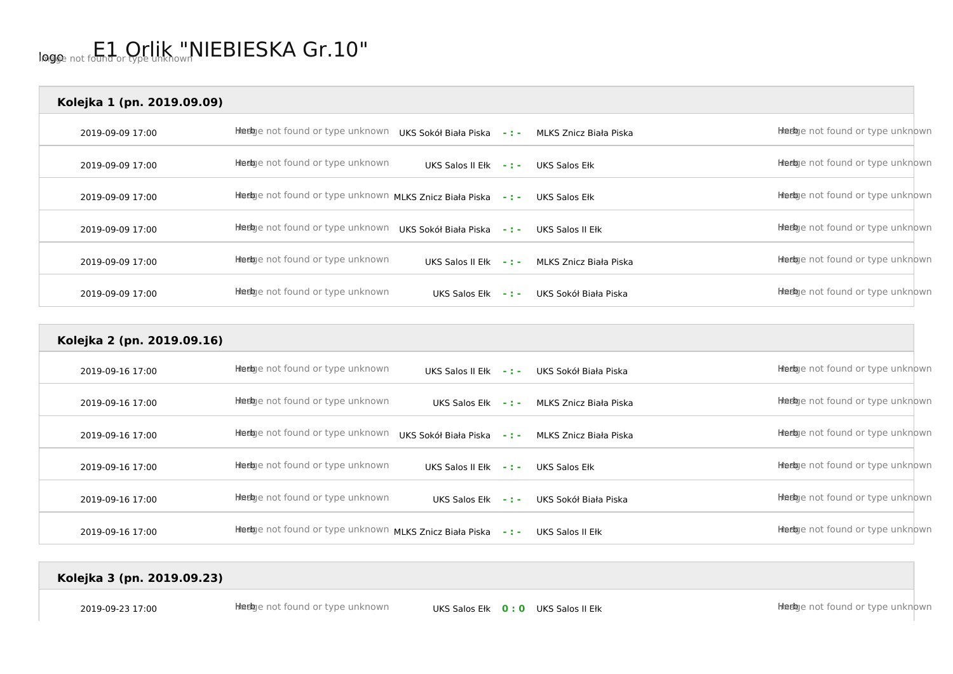## logo not found or type unknown NIEBIESKA Gr.10"

| Kolejka 1 (pn. 2019.09.09) |                                                         |                       |                |                        |                                  |
|----------------------------|---------------------------------------------------------|-----------------------|----------------|------------------------|----------------------------------|
| 2019-09-09 17:00           | Heelge not found or type unknown                        | UKS Sokół Biała Piska | <b>SALE</b>    | MLKS Znicz Biała Piska | Heebje not found or type unknown |
| 2019-09-09 17:00           | Heebye not found or type unknown                        | UKS Salos II Ełk      | 医骨折的           | UKS Salos Ełk          | Heebye not found or type unknown |
| 2019-09-09 17:00           | Heelge not found or type unknown MLKS Znicz Biała Piska |                       | 医骨折            | UKS Salos Ełk          | Heebje not found or type unknown |
| 2019-09-09 17:00           | Heebje not found or type unknown                        | UKS Sokół Biała Piska | <b>ALCOHOL</b> | UKS Salos II Ełk       | Heebye not found or type unknown |
| 2019-09-09 17:00           | Heebje not found or type unknown                        | UKS Salos II Ełk      | <b>SALE</b>    | MLKS Znicz Biała Piska | Heelge not found or type unknown |
| 2019-09-09 17:00           | Heebye not found or type unknown                        | UKS Salos Ełk         | <b>ALCOHOL</b> | UKS Sokół Biała Piska  | Heebje not found or type unknown |

| Kolejka 2 (pn. 2019.09.16) |                                                         |                       |                |                        |                                  |
|----------------------------|---------------------------------------------------------|-----------------------|----------------|------------------------|----------------------------------|
| 2019-09-16 17:00           | Heebye not found or type unknown                        | UKS Salos II Ełk      | <b>ALCOHOL</b> | UKS Sokół Biała Piska  | Heebye not found or type unknown |
| 2019-09-16 17:00           | Heebje not found or type unknown                        | UKS Salos Ełk         | $\sim 100$     | MLKS Znicz Biała Piska | Heebye not found or type unknown |
| 2019-09-16 17:00           | Heebje not found or type unknown                        | UKS Sokół Biała Piska | 医骨折的           | MLKS Znicz Biała Piska | Heebye not found or type unknown |
| 2019-09-16 17:00           | Hiedge not found or type unknown                        | UKS Salos II Ełk      | <b>SALE</b>    | UKS Salos Ełk          | Heebye not found or type unknown |
| 2019-09-16 17:00           | Heebye not found or type unknown                        | UKS Salos Ełk         | <b>SALE</b>    | UKS Sokół Biała Piska  | Heebye not found or type unknown |
| 2019-09-16 17:00           | Heebye not found or type unknown MLKS Znicz Biała Piska |                       | 医骨折的           | UKS Salos II Ełk       | Heebye not found or type unknown |

## **Kolejka 3 (pn. 2019.09.23)**